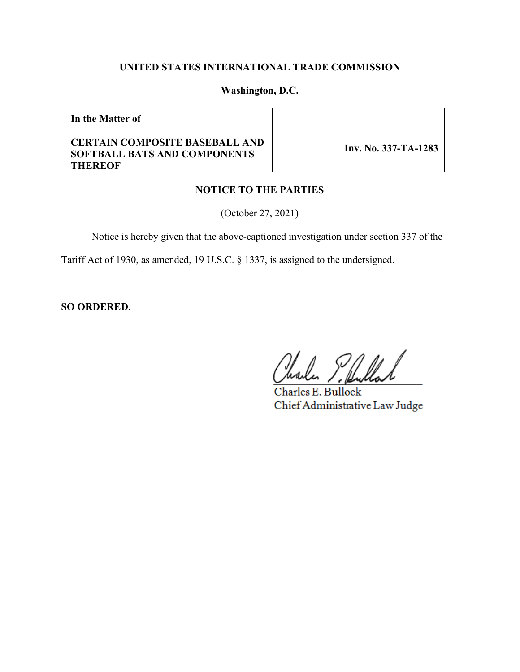# **UNITED STATES INTERNATIONAL TRADE COMMISSION**

## **Washington, D.C.**

**In the Matter of**

#### **CERTAIN COMPOSITE BASEBALL AND SOFTBALL BATS AND COMPONENTS THEREOF**

 **Inv. No. 337-TA-1283**

#### **NOTICE TO THE PARTIES**

(October 27, 2021)

Notice is hereby given that the above-captioned investigation under section 337 of the

Tariff Act of 1930, as amended, 19 U.S.C. § 1337, is assigned to the undersigned.

**SO ORDERED**.

Charles E. Bullock Chief Administrative Law Judge